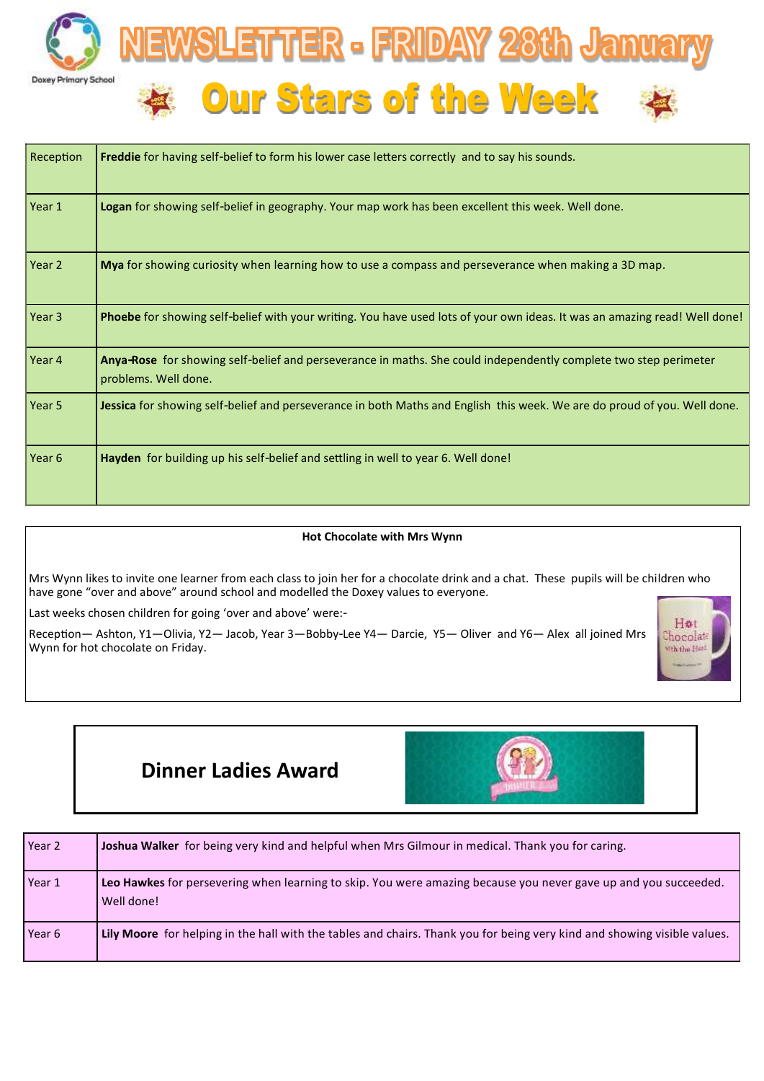

| Reception | <b>Freddie</b> for having self-belief to form his lower case letters correctly and to say his sounds.                                    |
|-----------|------------------------------------------------------------------------------------------------------------------------------------------|
| Year 1    | Logan for showing self-belief in geography. Your map work has been excellent this week. Well done.                                       |
| Year 2    | Mya for showing curiosity when learning how to use a compass and perseverance when making a 3D map.                                      |
| Year 3    | Phoebe for showing self-belief with your writing. You have used lots of your own ideas. It was an amazing read! Well done!               |
| Year 4    | Anya-Rose for showing self-belief and perseverance in maths. She could independently complete two step perimeter<br>problems. Well done. |
| Year 5    | Jessica for showing self-belief and perseverance in both Maths and English this week. We are do proud of you. Well done.                 |
| Year 6    | Hayden for building up his self-belief and settling in well to year 6. Well done!                                                        |

## **Hot Chocolate with Mrs Wynn**

Mrs Wynn likes to invite one learner from each class to join her for a chocolate drink and a chat. These pupils will be children who have gone "over and above" around school and modelled the Doxey values to everyone.

Last weeks chosen children for going 'over and above' were:-

Reception— Ashton, Y1—Olivia, Y2— Jacob, Year 3—Bobby-Lee Y4— Darcie, Y5— Oliver and Y6— Alex all joined Mrs Wynn for hot chocolate on Friday.



# **Dinner Ladies Award**



| Year 2 | Joshua Walker for being very kind and helpful when Mrs Gilmour in medical. Thank you for caring.                              |
|--------|-------------------------------------------------------------------------------------------------------------------------------|
| Year 1 | Leo Hawkes for persevering when learning to skip. You were amazing because you never gave up and you succeeded.<br>Well done! |
| Year 6 | Lily Moore for helping in the hall with the tables and chairs. Thank you for being very kind and showing visible values.      |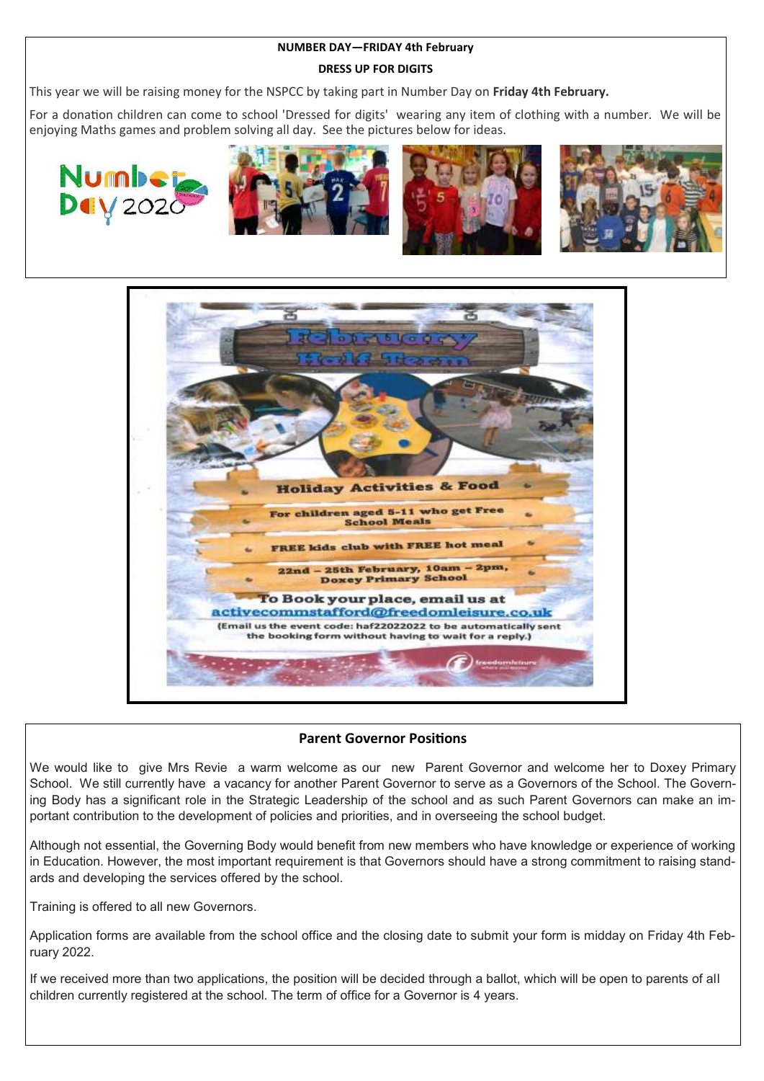## **NUMBER DAY—FRIDAY 4th February**

## **DRESS UP FOR DIGITS**

This year we will be raising money for the NSPCC by taking part in Number Day on **Friday 4th February.**

For a donation children can come to school 'Dressed for digits' wearing any item of clothing with a number. We will be enjoying Maths games and problem solving all day. See the pictures below for ideas.











# **Parent Governor Positions**

We would like to give Mrs Revie a warm welcome as our new Parent Governor and welcome her to Doxey Primary School. We still currently have a vacancy for another Parent Governor to serve as a Governors of the School. The Governing Body has a significant role in the Strategic Leadership of the school and as such Parent Governors can make an important contribution to the development of policies and priorities, and in overseeing the school budget.

Although not essential, the Governing Body would benefit from new members who have knowledge or experience of working in Education. However, the most important requirement is that Governors should have a strong commitment to raising standards and developing the services offered by the school.

Training is offered to all new Governors.

Application forms are available from the school office and the closing date to submit your form is midday on Friday 4th February 2022.

If we received more than two applications, the position will be decided through a ballot, which will be open to parents of all children currently registered at the school. The term of office for a Governor is 4 years.